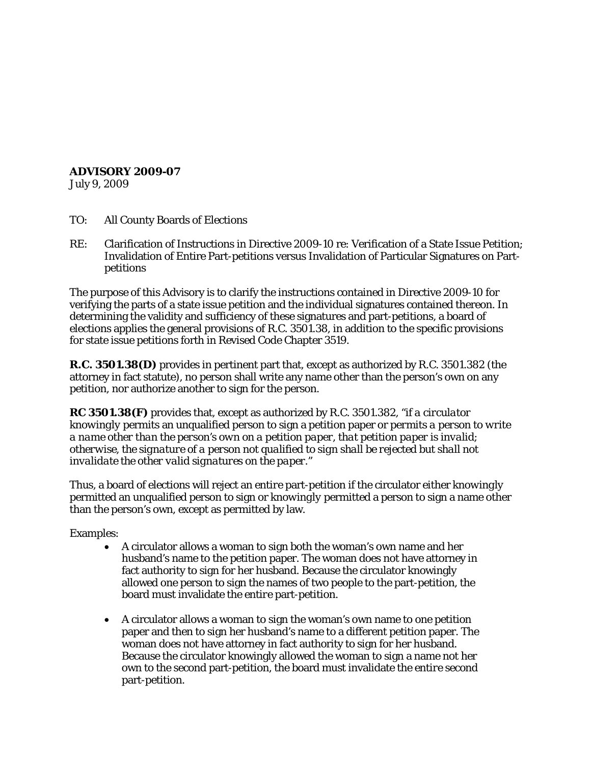## **ADVISORY 2009-07**

July 9, 2009

- TO: All County Boards of Elections
- RE: Clarification of Instructions in Directive 2009-10 re: Verification of a State Issue Petition; Invalidation of Entire Part-petitions versus Invalidation of Particular Signatures on Partpetitions

The purpose of this Advisory is to clarify the instructions contained in Directive 2009-10 for verifying the parts of a state issue petition and the individual signatures contained thereon. In determining the validity and sufficiency of these signatures and part-petitions, a board of elections applies the general provisions of R.C. 3501.38, in addition to the specific provisions for state issue petitions forth in Revised Code Chapter 3519.

**R.C. 3501.38(D)** provides in pertinent part that, except as authorized by R.C. 3501.382 (the attorney in fact statute), no person shall write any name other than the person's own on any petition, nor authorize another to sign for the person.

**RC 3501.38(F)** provides that, except as authorized by R.C. 3501.382, "*if a circulator knowingly* permits an unqualified person to sign a petition paper or *permits a person to write a name other than the person's own on a petition paper, that petition paper is invalid; otherwise, the signature of a person not qualified to sign shall be rejected but shall not invalidate the other valid signatures on the paper."*

Thus, a board of elections will reject an *entire* part-petition if the circulator either *knowingly*  permitted an unqualified person to sign or *knowingly* permitted a person to sign a name other than the person's own, except as permitted by law.

Examples:

- A circulator allows a woman to sign both the woman's own name and her husband's name to the petition paper. The woman does not have attorney in fact authority to sign for her husband. Because the circulator knowingly allowed one person to sign the names of two people to the part-petition, the board must invalidate the *entire* part-petition.
- A circulator allows a woman to sign the woman's own name to one petition paper and then to sign her husband's name to a different petition paper. The woman does not have attorney in fact authority to sign for her husband. Because the circulator knowingly allowed the woman to sign a name not her own to the second part-petition, the board must invalidate the *entire* second part-petition.